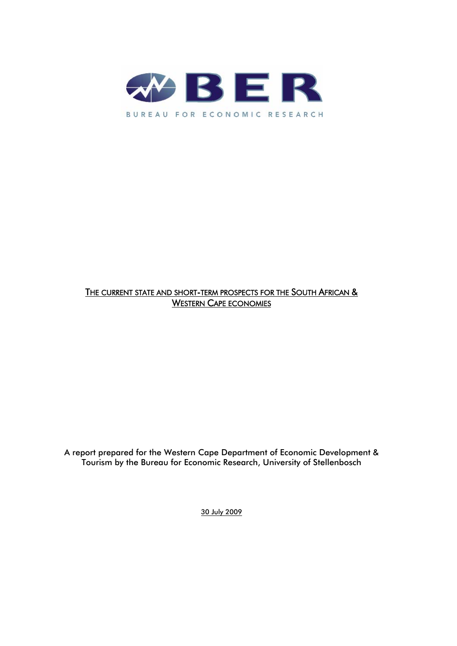

# THE CURRENT STATE AND SHORT-TERM PROSPECTS FOR THE SOUTH AFRICAN & WESTERN CAPE ECONOMIES

A report prepared for the Western Cape Department of Economic Development & Tourism by the Bureau for Economic Research, University of Stellenbosch

30 July 2009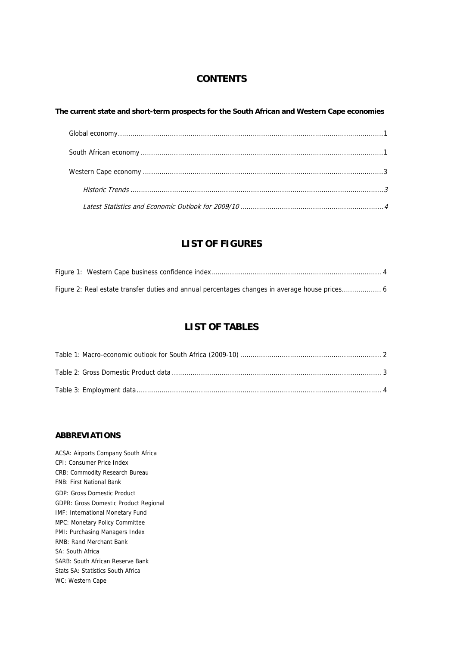## **CONTENTS**

#### T[he current state and short-term prospects for the South African and Western Ca](#page-2-0)pe economies

## **[LISTOFFIGURES](#page-7-0)**

# **LIST OF TABLES**

## **ABBREVIATIONS**

ACSA: Airports Company South Africa CPI: Consumer Price Index CRB: Commodity Research Bureau GDP: Gross Domestic Product GDPR: Gross Domestic Product Regional IMF: International Monetary Fund MPC: Monetary Policy Committee PMI: Purchasing Managers Index RMB: Rand Merchant Bank SA: South Africa SARB: South African Reserve Bank Stats SA: Statistics South Africa WC: Western Cape FNB: First National Bank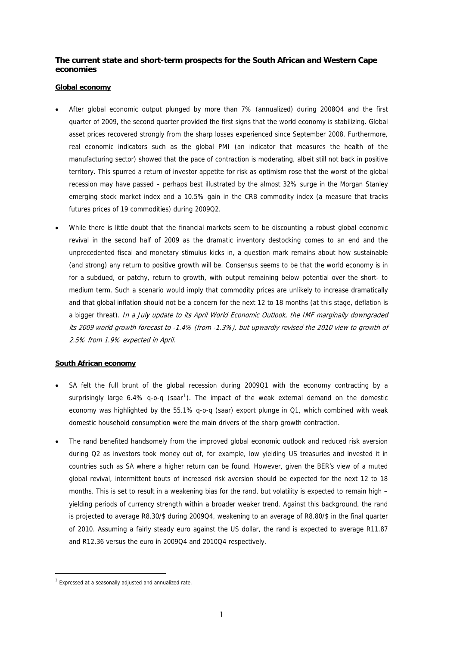## <span id="page-2-0"></span>**The current state and short-term prospects for the South African and Western Cape economies**

#### **Global economy**

- After global economic output plunged by more than 7% (annualized) during 2008Q4 and the first quarter of 2009, the second quarter provided the first signs that the world economy is stabilizing. Global asset prices recovered strongly from the sharp losses experienced since September 2008. Furthermore, real economic indicators such as the global PMI (an indicator that measures the health of the manufacturing sector) showed that the pace of contraction is moderating, albeit still not back in positive territory. This spurred a return of investor appetite for risk as optimism rose that the worst of the global recession may have passed – perhaps best illustrated by the almost 32% surge in the Morgan Stanley emerging stock market index and a 10.5% gain in the CRB commodity index (a measure that tracks futures prices of 19 commodities) during 2009Q2.
- While there is little doubt that the financial markets seem to be discounting a robust global economic revival in the second half of 2009 as the dramatic inventory destocking comes to an end and the unprecedented fiscal and monetary stimulus kicks in, a question mark remains about how sustainable for a subdued, or patchy, return to growth, with output remaining below potential over the short- to medium term. Such a scenario would imply that commodity prices are unlikely to increase dramatically and that global inflation should not be a concern for the next 12 to 18 months (at this stage, deflation is a bigger threat). In a July update to its April World Economic Outlook, the IMF marginally downgraded its 2009 world growth forecast to -1.4% (from -1.3%), but upwardly revised the 2010 view to growth of (and strong) any return to positive growth will be. Consensus seems to be that the world economy is in 2.5% from 1.9% expected in April.

#### **South African economy**

- SA felt the full brunt of the global recession during 2009Q1 with the economy c ontracting by a surprisingly large 6.4% q-o-q (saar<sup>1</sup>). The impact of the weak external demand on the domestic economy was highlighted by the 55.1% q-o-q (saar) export plunge in Q1, which com bined with weak domestic household consumption were the main drivers of the sharp growth contraction .
- The rand benefited handsomely from the improved global economic outlook and reduced risk aversion during Q2 as investors took money out of, for example, low yielding US treasuries and invested it in countries such as SA where a higher return can be found. However, given the BER's view of a muted global revival, intermittent bouts of increased risk aversion should be expected for the next 12 to 18 months. This is set to result in a weakening bias for the rand, but volatility is expected to remain high – yielding periods of currency strength within a broader weaker trend. Against this background, the rand is projected to average R8.30/\$ during 2009Q4, weakening to an average of R8.80/\$ in the final quarter of 2010. Assuming a fairly steady euro against the US dollar, the rand is expected to average R11.87 and R12.36 versus the euro in 2009Q4 and 2010Q4 respectively.

-

 $1$  Expressed at a seasonally adjusted and annualized rate.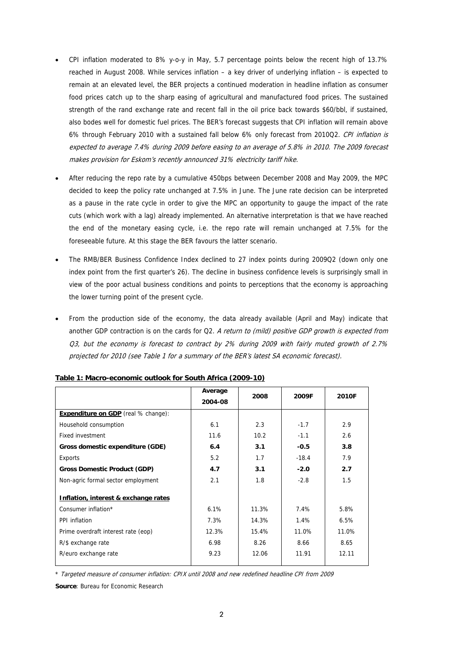- CPI inflation moderated to 8% y-o-y in May, 5.7 percentage points below the recent high of 13.7% reached in August 2008. While services inflation – a key driver of underlying inflation – is expected to remain at an elevated level, the BER projects a continued moderation in headline inflation as consumer food prices catch up to the sharp easing of agricultural and manufactured food prices. The sustained strength of the rand exchange rate and recent fall in the oil price back towards \$60/bbl, if sustained, also bodes well for domestic fuel prices. The BER's forecast suggests that CPI inflation w ill remain above 6% through February 2010 with a sustained fall below 6% only forecast from 2010Q2. CPI inflation is expected to average 7.4% during 2009 before easing to an average of 5.8% in 2010. The 2009 forecast makes provision for Eskom's recently announced 31% electricity tariff hike.
- After reducing the repo rate by a cumulative 450bps between December 2008 and May 2009, the MPC as a pause in the rate cycle in order to give the MPC an opportunity to gauge the impact of the rate cuts (which work with a lag) already implemented. An alternative interpretation is that we have reached the end of the monetary easing cycle, i.e. the repo rate will remain unchanged at 7.5% for the decided to keep the policy rate unchanged at 7.5% in June. The June rate decision can be interpreted foreseeable future. At this stage the BER favours the latter scenario.
- The RMB/BER Business Confidence Index declined to 27 index points during 2009Q2 (down only one index point from the first quarter's 26). The decline in business confidence levels is surprisingly small in view of the poor actual business conditions and points to perceptions that the economy is approaching the lower turning point of the present cycle.
- From the production side of the economy, the data already available (April and May) indicate that another GDP contraction is on the cards for Q2. A return to (mild) positive GDP growth is expected from 03, but the economy is forecast to contract by 2% during 2009 with fairly muted growth of 2.7% projected for 2010 (see Table 1 for a summary of the BER's latest SA economic forecast).

|                                            | Average |       |         |       |  |
|--------------------------------------------|---------|-------|---------|-------|--|
|                                            | 2004-08 | 2008  | 2009F   | 2010F |  |
| <b>Expenditure on GDP</b> (real % change): |         |       |         |       |  |
| Household consumption                      | 6.1     | 2.3   | $-1.7$  | 2.9   |  |
| Fixed investment                           | 11.6    | 10.2  | $-1.1$  | 2.6   |  |
| Gross domestic expenditure (GDE)           | 6.4     | 3.1   | $-0.5$  | 3.8   |  |
| Exports                                    | 5.2     | 1.7   | $-18.4$ | 7.9   |  |
| <b>Gross Domestic Product (GDP)</b>        | 4.7     | 3.1   | $-2.0$  | 2.7   |  |
| Non-agric formal sector employment         | 2.1     | 1.8   | $-2.8$  | 1.5   |  |
| Inflation, interest & exchange rates       |         |       |         |       |  |
| Consumer inflation*                        | 6.1%    | 11.3% | 7.4%    | 5.8%  |  |
| PPI inflation                              | 7.3%    | 14.3% | 1.4%    | 6.5%  |  |
| Prime overdraft interest rate (eop)        | 12.3%   | 15.4% | 11.0%   | 11.0% |  |
| R/\$ exchange rate                         | 6.98    | 8.26  | 8.66    | 8.65  |  |
| R/euro exchange rate                       | 9.23    | 12.06 | 11.91   | 12.11 |  |

**Table 1: Macro-economic outlook for South Africa (2009-10)** 

\* Targeted measure of consumer inflation: CPIX until 2008 and new redefined headline CPI from 2009

**Source**: Bureau for Economic Research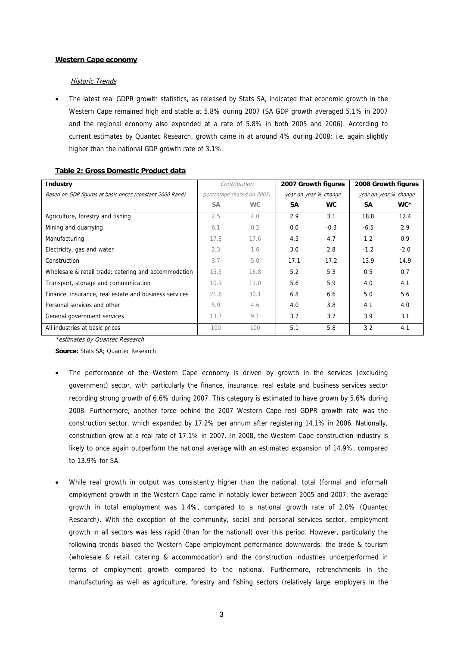#### **Western Cape economy**

#### Historic Trends

• The latest real GDPR growth statistics, as released by Stats SA, indicated that economic growth in the Western Cape remained high and stable at 5.8% during 2007 (SA GDP growth averaged 5.1% in 2007 and the regional economy also expande d at a rate of 5.8% in both 2005 and 2006). According to current estimates by Quantec Research, growth came in at around 4% during 2008; i.e. again slightly higher than the national GDP growth rate of 3.1%.

| <b>Industry</b>                                           | Contribution               |           | 2007 Growth figures   |           | 2008 Growth figures   |        |
|-----------------------------------------------------------|----------------------------|-----------|-----------------------|-----------|-----------------------|--------|
| Based on GDP figures at basic prices (constant 2000 Rand) | percentage (based on 2007) |           | year-on-year % change |           | year-on-year % change |        |
|                                                           | <b>SA</b>                  | <b>WC</b> | SA                    | <b>WC</b> | <b>SA</b>             | WC*    |
| Agriculture, forestry and fishing                         | 2.5                        | 4.0       | 2.9                   | 3.1       | 18.8                  | 12.4   |
| Mining and quarrying                                      | 6.1                        | 0.2       | 0.0                   | $-0.3$    | $-6.5$                | 2.9    |
| Manufacturing                                             | 17.8                       | 17.6      | 4.5                   | 4.7       | 1.2                   | 0.9    |
| Electricity, gas and water                                | 2.3                        | 1.6       | 3.0                   | 2.8       | $-1.2$                | $-2.0$ |
| Construction                                              | 3.7                        | 5.0       | 17.1                  | 17.2      | 13.9                  | 14.9   |
| Wholesale & retail trade; catering and accommodation      | 15.5                       | 16.8      | 5.2                   | 5.3       | 0.5                   | 0.7    |
| Transport, storage and communication                      | 10.9                       | 11.0      | 5.6                   | 5.9       | 4.0                   | 4.1    |
| Finance, insurance, real estate and business services     | 21.6                       | 30.1      | 6.8                   | 6.6       | 5.0                   | 5.6    |
| Personal services and other                               | 5.9                        | 4.6       | 4.0                   | 3.8       | 4.1                   | 4.0    |
| General government services                               | 13.7                       | 9.1       | 3.7                   | 3.7       | 3.9                   | 3.1    |
| All industries at basic prices                            | 100                        | 100       | 5.1                   | 5.8       | 3.2                   | 4.1    |

#### **Table 2: Gross Domestic Product data**

\*estimates by Quantec Research

**Source:** Stats SA; Quantec Research

- The performance of the Western Cape economy is driven by growth in the services (excluding government) sector, with particularly the finance, insurance, real estate and busines s services sector recording stron g growth of 6.6% during 2007. This category is estimated to have grown by 5.6% during 2008. Furthermore, another force behind the 2007 Western Cape real GDPR growth rate was the construction sector, which expanded by 17.2% per annum after registering 14.1% in 2006. Nationally, construction grew at a real rate of 17.1% in 2007. In 2008, the Western Cape construction industry is likely to once again outperform the national average with an estimated expansion of 14.9%, compared to 13.9% for SA.
- While real growth in output was consistently higher than the national, total (formal and informal) employment growth in the Western Cape came in notably lower between 2005 and 2007: the average growth in total employment was 1.4%, compared to a national growth rate of 2.0% (Quantec Research). With the exception of the community, social and personal services sector, employment growth in all sectors was less rapid (than for the national) over this period. However, particularly the following trends biased the Western Cape employment performance downwards: the trade & tourism (wholesale & retail, catering & accommodation) and the construction industries underperformed in terms of employment growth compared to the national. Furthermore, retrenchments in the manufacturing as well as agriculture, forestry and fishing sectors (relatively large employers in the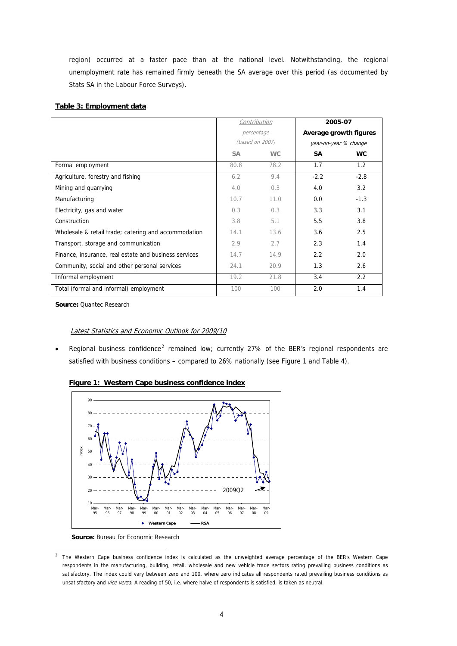<span id="page-5-0"></span>region) occurred at a faster pace than at the national level. Notwithstandin g, the regional unemployment rate has remain ed firmly beneath the SA average over this period (as documented by Stats SA in the Labour Force Surveys).

## **Table 3: Employment data**

|                                                       | Contribution    |           | 2005-07                |           |  |
|-------------------------------------------------------|-----------------|-----------|------------------------|-----------|--|
|                                                       | percentage      |           | Average growth figures |           |  |
|                                                       | (based on 2007) |           | year-on-year % change  |           |  |
|                                                       | <b>SA</b>       | <b>WC</b> | SA                     | <b>WC</b> |  |
| Formal employment                                     | 80.8            | 78.2      | 1.7                    | 1.2       |  |
| Agriculture, forestry and fishing                     | 6.2             | 9.4       | $-2.2$                 | $-2.8$    |  |
| Mining and quarrying                                  | 4.0             | 0.3       | 4.0                    | 3.2       |  |
| Manufacturing                                         | 10.7            | 11.0      | 0.0                    | $-1.3$    |  |
| Electricity, gas and water                            | 0.3             | 0.3       | 3.3                    | 3.1       |  |
| Construction                                          | 3.8             | 5.1       | 5.5                    | 3.8       |  |
| Wholesale & retail trade; catering and accommodation  | 14.1            | 13.6      | 3.6                    | 2.5       |  |
| Transport, storage and communication                  | 2.9             | 2.7       | 2.3                    | 1.4       |  |
| Finance, insurance, real estate and business services | 14.7            | 14.9      | $2.2^{\circ}$          | 2.0       |  |
| Community, social and other personal services         | 24.1            | 20.9      | 1.3                    | 2.6       |  |
| Informal employment                                   | 19.2            | 21.8      | 3.4                    | 2.2       |  |
| Total (formal and informal) employment                | 100             | 100       | 2.0                    | 1.4       |  |

**Source:** Quantec Research

#### Latest Statistics and Economic Outlook for 2009/10 L

• Regional business confidence<sup>2</sup> remained low; currently 27% of the BER's regional respondents are satisfied with business conditions – compared to 26% nationally (see Figure 1 and Table 4).



#### **Figure 1: Western Cape business confidence index**

 **Source:** Bureau for Economic Research

-

<sup>2</sup> The Western Cape business confidence index is calculated as the unweighted average percentage of the BER's Western Cape respondents in the manufacturing, building, retail, wholesale and new vehicle trade sectors rating prevailing business conditions as satisfactory. The index could vary between zero and 100, where zero indicates all respondents rated prevailing business conditions as unsatisfactory and *vice versa*. A reading of 50, i.e. where halve of respondents is satisfied, is taken as neutral.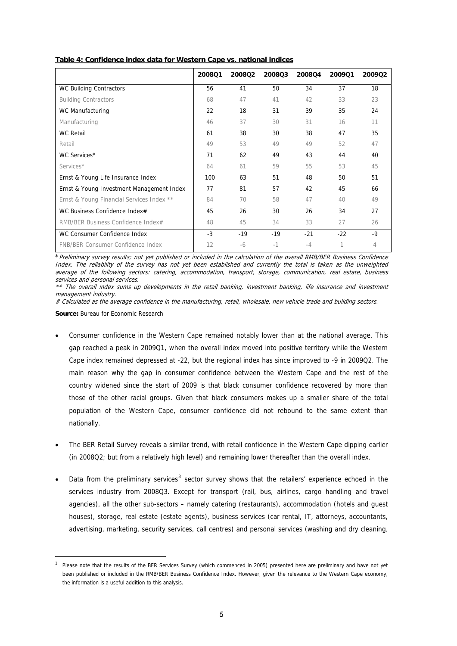|                                           | 2008Q1 | 200802 | 200803 | 2008Q4 | 2009Q1 | 2009Q2 |
|-------------------------------------------|--------|--------|--------|--------|--------|--------|
| WC Building Contractors                   | 56     | 41     | 50     | 34     | 37     | 18     |
| <b>Building Contractors</b>               | 68     | 47     | 41     | 42     | 33     | 23     |
| WC Manufacturing                          | 22     | 18     | 31     | 39     | 35     | 24     |
| Manufacturing                             | 46     | 37     | 30     | 31     | 16     | 11     |
| <b>WC Retail</b>                          | 61     | 38     | 30     | 38     | 47     | 35     |
| Retail                                    | 49     | 53     | 49     | 49     | 52     | 47     |
| WC Services*                              | 71     | 62     | 49     | 43     | 44     | 40     |
| Services*                                 | 64     | 61     | 59     | 55     | 53     | 45     |
| Ernst & Young Life Insurance Index        | 100    | 63     | 51     | 48     | 50     | 51     |
| Ernst & Young Investment Management Index | 77     | 81     | 57     | 42     | 45     | 66     |
| Ernst & Young Financial Services Index ** | 84     | 70     | 58     | 47     | 40     | 49     |
| WC Business Confidence Index#             | 45     | 26     | 30     | 26     | 34     | 27     |
| RMB/BER Business Confidence Index#        | 48     | 45     | 34     | 33     | 27     | 26     |
| WC Consumer Confidence Index              | $-3$   | $-19$  | $-19$  | $-21$  | $-22$  | -9     |
| FNB/BER Consumer Confidence Index         | 12     | -6     | $-1$   | $-4$   | 1      | 4      |

**Table 4: Confidence index data for Western Cape vs. national indices** 

\*Preliminary survey results; not yet published or included in the calculation of the overall RMB/BER Business Confidence Index. The reliability of the survey has not yet been established and currently the total is taken as the unweighted average of the following sectors: catering, accommodation, transport, storage, communication, real estate, business services and personal services.

\*\* The overall index sums up developments in the retail banking, investment banking, life insurance and investment management industry.

# Calculated as the average confidence in the manufacturing, retail, wholesale, new vehicle trade and building sectors.

**Source:** Bureau for Economic Research

-

- gap reached a peak in 2009Q1, when the overall index moved into positive territory while the Western Cape index remained depressed at -22, but the regional index has since improved to -9 in 2009Q2. The main reason why the gap in consumer confidence between the Western Cape and the rest of the those of the other racial groups. Given that black consumers makes up a smaller share of the total population of the Western Cape, consumer confidence did not rebound to the same extent than • Consumer confidence in the Western Cape remained notably lower than at the national average. This country widened since the start of 2009 is that black consumer confidence recovered by more than nationally.
- The BER Retail Survey reveals a similar trend, with retail confidence in the Western Cape dipping earlier (in 2008Q2; but from a relatively high level) and remaining lower thereafter than the overall index.
- Data from the preliminary services<sup>3</sup> sector survey shows that the retailers' experience echoed in the services industry from 2008Q3. Except for transport (rail, bus, airlines, cargo handling and travel agencies), all the other sub-sectors – namely catering (restaurants), accommodation (hotels and guest houses), storage, real estate (estate agents), business services (car rental, IT, attorneys, accountants, advertising, marketing, security services, call centres) and personal services (washing and dry cleaning, •

<sup>3</sup> Please note that the results of the BER Services Survey (which commenced in 2005) presented here are preliminary and have not yet been published or included in the RMB/BER Business Confidence Index. However, given the relevance to the Western Cape economy, the information is a useful addition to this analysis.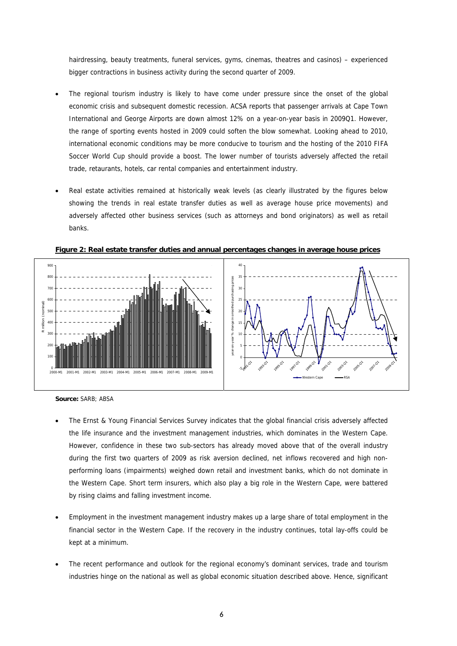<span id="page-7-0"></span>hairdressing, beauty treatments, funeral services, gyms, cinemas, theatres and casinos) – experienced bigger contractions in business activity during the second quarter of 2009.

- The regional tourism industry is likely to have come under pressure since the onset of the global economic crisis and subsequent domestic recession. ACSA reports that passenger arrivals at Cape Town International and George Airports are down almost 12% on a year-on-year basis in 2009Q1. However, the range of sporting events hosted in 2009 could soften the blow somewhat. Looking ahead to 2010, international economic conditions may be more conducive to tourism and the hosting of the 2010 FIFA Soccer World Cup should provide a boost. The lower number of tourists adversely affected the retail trade, retaurants, hotels, car rental companies and entertainment industry.
- Real estate activities remained at historically weak levels (as clearly illustrated by the figures below showing the trends in real estate transfer duties as well as average house price movements) and adversely affected other business services (such as attorneys and bond originators) as well as retail banks.



**Figure 2: Real estate transfer duties and annual percentages changes in average house prices**

- The Ernst & Young Financial Services Survey indicates that the global financial crisis adversely affected the life insurance and the investment management industries, which dominates in the Western Cape. However, confidence in these two sub-sectors has already moved above that of the overall industry during the first two quarters of 2009 as risk aversion declined, net inflows recovered and high nonperforming loans (impairments) weighed down retail and investment banks, which do not dominate in the Western Cape. Short term insurers, which also play a big role in the Western Cape, were battered by rising claims and falling investment income.
- Employment in the investment management industry makes up a large share of total employment in the financial sector in the Western Cape. If the recovery in the industry continues, total lay-offs could be kept at a minimum.
- The recent performance and outlook for the regional economy's dominant services, trade and tourism industries hinge on the national as well as global economic situation described above. Hence, significant

**Source:** SARB; ABSA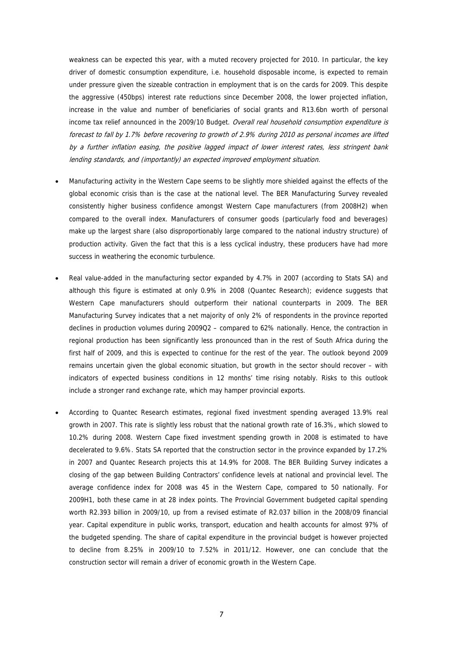weakness can be expected this year, with a muted recovery projected for 2010. In pa rticular, the key driver of domestic consumption expenditure, i.e. household disposable income, is exp ected to remain under pressure given the sizeable contraction in employment that is on the cards for 2 009. This despite the aggressive (450bps) interest rate reductions since December 2008, the lower projected inflation, increase in the value and number of beneficiaries of social grants and R13.6bn worth of personal income tax relief announced in the 2009/10 Budget. Overall real household consumption expenditure is forecast to fall by 1.7% before recovering to growth of 2.9% during 2010 as personal incomes are lifted by a further inflation easing, the positive lagged impact of lower interest rates, less stringent bank lending standards, and (importantly) an expected improved employment situation.

- Manufacturing activity in the Western Cape seems to be slightly more shielded against the effects of the global economic crisis than is the case at the national level. The BER Manufacturing Survey revealed consistently higher business confidence amongst Western Cape manufacturers (from 2008H2) when compared to the overall index. Manufacturers of consumer goods (particularly food and beverages) make up the largest share (also disproportionably large compared to the national industry structure) of production activity. Given the fact that this is a less cyclical industry, these producers have had more success in weathering the economic turbulence.
- Real value-added in the manufacturing sector expanded by 4.7% in 2007 (according to Stats SA) and although this figure is estimated at only 0.9% in 2008 (Quantec Research); evidence suggests that Western Cape manufacturers should outperform their national counterparts in 2009. The BER Manufacturing Survey indicates that a net majority of only 2% of respondents in the province reported declines in production volumes during 2009Q2 – compared to 62% nationally. Hence, the contraction in regional production has been significantly less pronounced than in the rest of South Africa during the first half of 2009, and this is expected to continue for the rest of the year. The outlook beyond 2009 remains uncertain given the global economic situation, but growth in the sector should recover – with indicators of expected business conditions in 12 months' time rising notably. Risks to this outlook include a stronger rand exchange rate, which may hamper provincial exports.
- According to Quantec Research estimates, regional fixed investment spending averaged 13.9% real growth in 2007. This rate is slightly less robust that the national growth rate of 16.3%, which slowed to 10.2% during 2008. Western Cape fixed investment spending growth in 2008 is estimated to have decelerated to 9.6%. Stats SA reported that the construction sector in the province expanded by 17.2% in 2007 and Quantec Research projects this at 14.9% for 2008. The BER Building Survey indicates a closing of the gap between Building Contractors' confidence levels at national and provincial level. The average confidence index for 2008 was 45 in the Western Cape, compared to 50 nationally. For 2009H1, both these came in at 28 index points. The Provincial Government budgeted capital spending worth R2.393 billion in 2009/10, up from a revised estimate of R2.037 billion in the 2008/09 financial year. Capital expenditure in public works, transport, education and health accounts for almost 97% of the budgeted spending. The share of capital expenditure in the provincial budget is however projected to decline from 8.25% in 2009/10 to 7.52% in 2011/12. However, one can conclude that the construction sector will remain a driver of economic growth in the Western Cape.